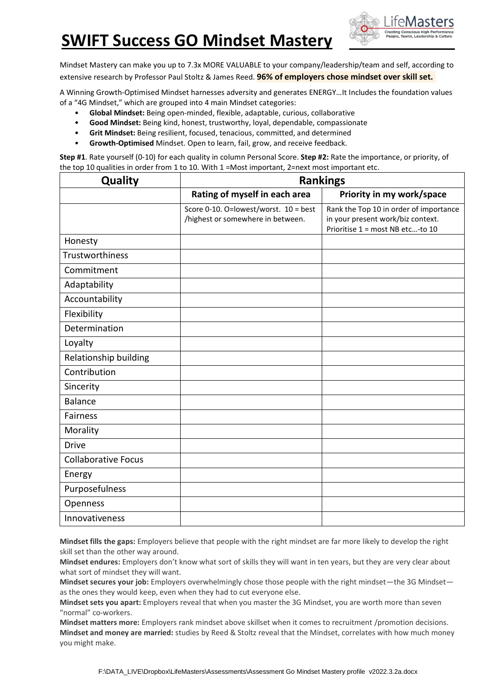## **SWIFT Success GO Mindset Mastery**



Mindset Mastery can make you up to 7.3x MORE VALUABLE to your company/leadership/team and self, according to extensive research by Professor Paul Stoltz & James Reed. **96% of employers chose mindset over skill set.**

A Winning Growth-Optimised Mindset harnesses adversity and generates ENERGY…It Includes the foundation values of a "4G Mindset," which are grouped into 4 main Mindset categories:

- **Global Mindset:** Being open-minded, flexible, adaptable, curious, collaborative
- **Good Mindset:** Being kind, honest, trustworthy, loyal, dependable, compassionate
- **Grit Mindset:** Being resilient, focused, tenacious, committed, and determined
- **Growth-Optimised** Mindset. Open to learn, fail, grow, and receive feedback.

**Step #1**. Rate yourself (0-10) for each quality in column Personal Score. **Step #2:** Rate the importance, or priority, of the top 10 qualities in order from 1 to 10. With 1 = Most important, 2=next most important etc.

| <b>Quality</b>             | <b>Rankings</b>                       |                                        |  |  |  |
|----------------------------|---------------------------------------|----------------------------------------|--|--|--|
|                            | Rating of myself in each area         | Priority in my work/space              |  |  |  |
|                            | Score 0-10. O=lowest/worst. 10 = best | Rank the Top 10 in order of importance |  |  |  |
|                            | /highest or somewhere in between.     | in your present work/biz context.      |  |  |  |
|                            |                                       | Prioritise 1 = most NB etc-to 10       |  |  |  |
| Honesty                    |                                       |                                        |  |  |  |
| Trustworthiness            |                                       |                                        |  |  |  |
| Commitment                 |                                       |                                        |  |  |  |
| Adaptability               |                                       |                                        |  |  |  |
| Accountability             |                                       |                                        |  |  |  |
| Flexibility                |                                       |                                        |  |  |  |
| Determination              |                                       |                                        |  |  |  |
| Loyalty                    |                                       |                                        |  |  |  |
| Relationship building      |                                       |                                        |  |  |  |
| Contribution               |                                       |                                        |  |  |  |
| Sincerity                  |                                       |                                        |  |  |  |
| <b>Balance</b>             |                                       |                                        |  |  |  |
| <b>Fairness</b>            |                                       |                                        |  |  |  |
| Morality                   |                                       |                                        |  |  |  |
| <b>Drive</b>               |                                       |                                        |  |  |  |
| <b>Collaborative Focus</b> |                                       |                                        |  |  |  |
| Energy                     |                                       |                                        |  |  |  |
| Purposefulness             |                                       |                                        |  |  |  |
| Openness                   |                                       |                                        |  |  |  |
| Innovativeness             |                                       |                                        |  |  |  |

**Mindset fills the gaps:** Employers believe that people with the right mindset are far more likely to develop the right skill set than the other way around.

**Mindset endures:** Employers don't know what sort of skills they will want in ten years, but they are very clear about what sort of mindset they will want.

**Mindset secures your job:** Employers overwhelmingly chose those people with the right mindset—the 3G Mindset as the ones they would keep, even when they had to cut everyone else.

**Mindset sets you apart:** Employers reveal that when you master the 3G Mindset, you are worth more than seven "normal" co-workers.

**Mindset matters more:** Employers rank mindset above skillset when it comes to recruitment /promotion decisions. **Mindset and money are married:** studies by Reed & Stoltz reveal that the Mindset, correlates with how much money you might make.